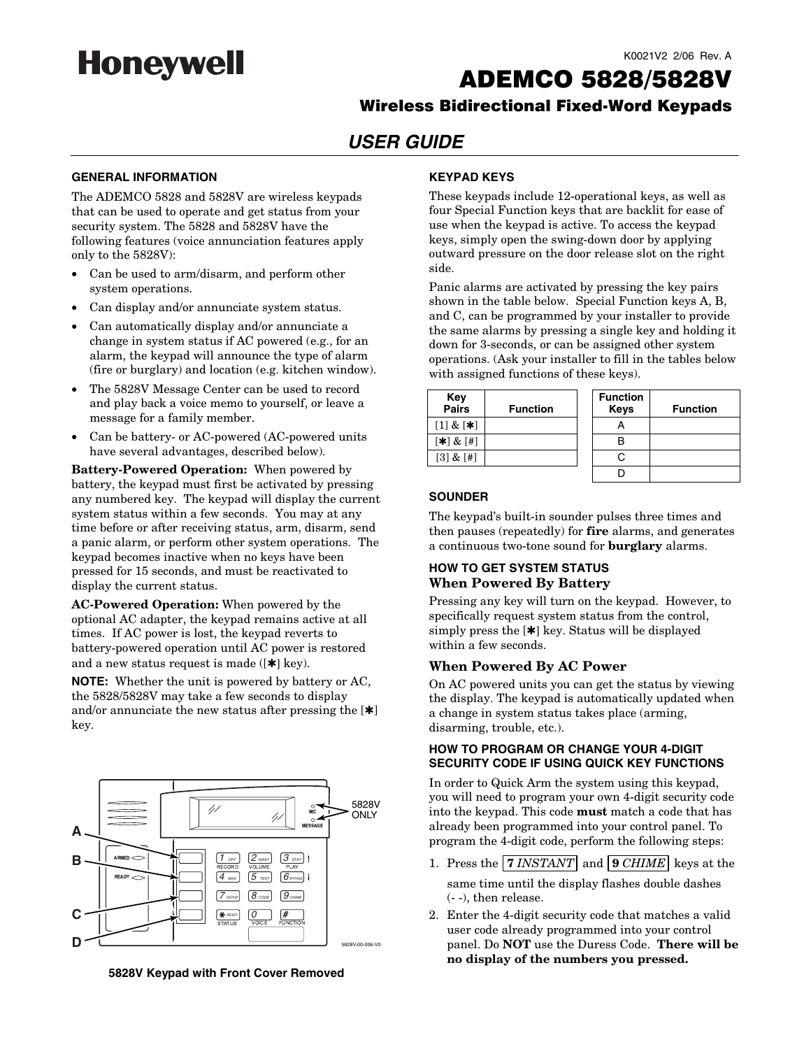

#### K0021V2 2/06 Rev. A

# ADEMCO 5828/5828V

## Wireless Bidirectional Fixed-Word Keypads

## **USER GUIDE**

#### **GENERAL INFORMATION**

The ADEMCO 5828 and 5828V are wireless keypads that can be used to operate and get status from your security system. The 5828 and 5828V have the following features (voice annunciation features apply only to the 5828V):

- Can be used to arm/disarm, and perform other system operations.
- Can display and/or annunciate system status.
- Can automatically display and/or annunciate a change in system status if AC powered (e.g., for an alarm, the keypad will announce the type of alarm (fire or burglary) and location (e.g. kitchen window).
- The 5828V Message Center can be used to record and play back a voice memo to yourself, or leave a message for a family member.
- Can be battery- or AC-powered (AC-powered units have several advantages, described below).

**Battery-Powered Operation:** When powered by battery, the keypad must first be activated by pressing any numbered key. The keypad will display the current system status within a few seconds. You may at any time before or after receiving status, arm, disarm, send a panic alarm, or perform other system operations. The keypad becomes inactive when no keys have been pressed for 15 seconds, and must be reactivated to display the current status.

**AC-Powered Operation:** When powered by the optional AC adapter, the keypad remains active at all times. If AC power is lost, the keypad reverts to battery-powered operation until AC power is restored and a new status request is made ( $[\ast]$  key).

**NOTE:** Whether the unit is powered by battery or AC, the 5828/5828V may take a few seconds to display and/or annunciate the new status after pressing the  $[\ast]$ key.



**5828V Keypad with Front Cover Removed** 

#### **KEYPAD KEYS**

These keypads include 12-operational keys, as well as four Special Function keys that are backlit for ease of use when the keypad is active. To access the keypad keys, simply open the swing-down door by applying outward pressure on the door release slot on the right side.

Panic alarms are activated by pressing the key pairs shown in the table below. Special Function keys A, B, and C, can be programmed by your installer to provide the same alarms by pressing a single key and holding it down for 3-seconds, or can be assigned other system operations. (Ask your installer to fill in the tables below with assigned functions of these keys).

| Key<br><b>Pairs</b> | <b>Function</b> | <b>Function</b><br><b>Keys</b> | Func |
|---------------------|-----------------|--------------------------------|------|
| $[1] & [**]$        |                 |                                |      |
| $[\ast] \& [\#]$    |                 |                                |      |
| [3] & [#]           |                 |                                |      |
|                     |                 |                                |      |

| эy<br>irs                   | <b>Function</b> | <b>Function</b><br><b>Keys</b> | <b>Function</b> |
|-----------------------------|-----------------|--------------------------------|-----------------|
| $\mathbf{z}$ $[\mathbf{*}]$ |                 |                                |                 |
| $\&$ [#]                    |                 |                                |                 |
| 'z [#]                      |                 | r.                             |                 |
|                             |                 |                                |                 |

#### **SOUNDER**

The keypad's built-in sounder pulses three times and then pauses (repeatedly) for **fire** alarms, and generates a continuous two-tone sound for **burglary** alarms.

## **HOW TO GET SYSTEM STATUS When Powered By Battery**

Pressing any key will turn on the keypad. However, to specifically request system status from the control, simply press the [✱] key. Status will be displayed within a few seconds.

#### **When Powered By AC Power**

On AC powered units you can get the status by viewing the display. The keypad is automatically updated when a change in system status takes place (arming, disarming, trouble, etc.).

#### **HOW TO PROGRAM OR CHANGE YOUR 4-DIGIT SECURITY CODE IF USING QUICK KEY FUNCTIONS**

In order to Quick Arm the system using this keypad, you will need to program your own 4-digit security code into the keypad. This code **must** match a code that has already been programmed into your control panel. To program the 4-digit code, perform the following steps:

- 1. Press the **7** *INSTANT* and **9** *CHIME* keys at the same time until the display flashes double dashes (- -), then release.
- 2. Enter the 4-digit security code that matches a valid user code already programmed into your control panel. Do **NOT** use the Duress Code. **There will be no display of the numbers you pressed.**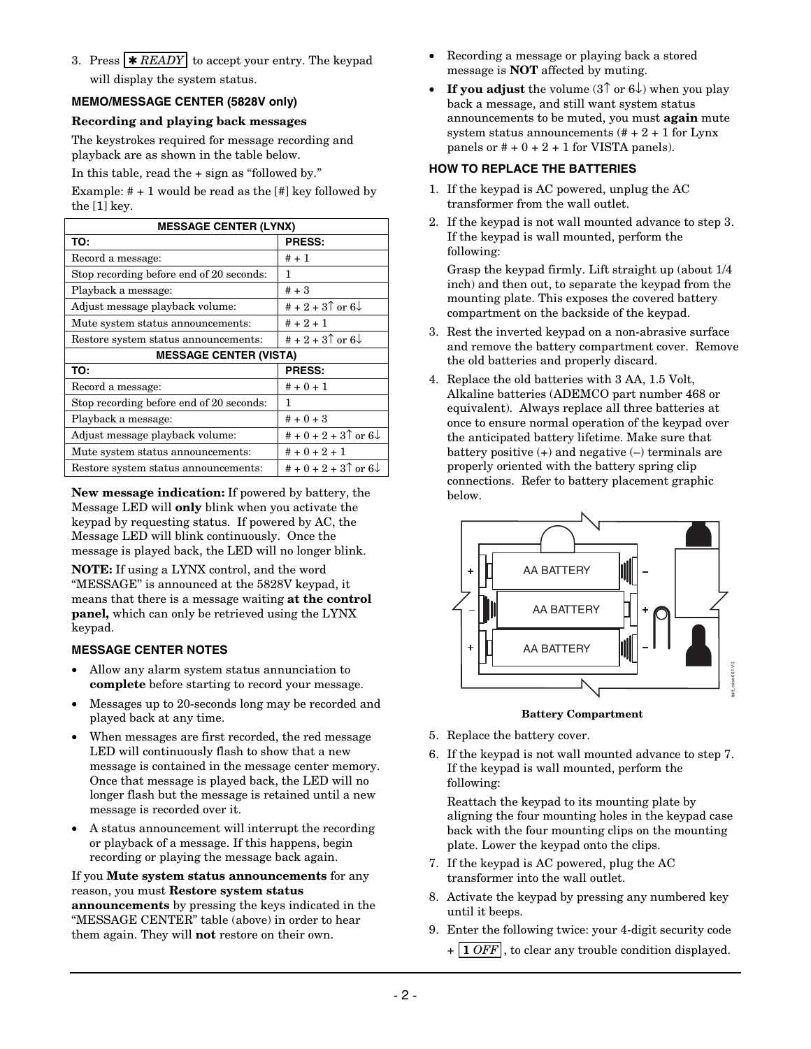3. Press  $\star$  *READY* to accept your entry. The keypad will display the system status.

## **MEMO/MESSAGE CENTER (5828V only)**

### **Recording and playing back messages**

The keystrokes required for message recording and playback are as shown in the table below.

In this table, read the + sign as "followed by."

Example:  $# + 1$  would be read as the  $[#]$  key followed by the [1] key.

| <b>MESSAGE CENTER (LYNX)</b>             |                                                                  |  |  |  |
|------------------------------------------|------------------------------------------------------------------|--|--|--|
| TO:                                      | <b>PRESS:</b>                                                    |  |  |  |
| Record a message:                        | $# + 1$                                                          |  |  |  |
| Stop recording before end of 20 seconds: | 1                                                                |  |  |  |
| Playback a message:                      | $# + 3$                                                          |  |  |  |
| Adjust message playback volume:          | # + 2 + 3 <sup><math>\uparrow</math></sup> or 6 $\downarrow$     |  |  |  |
| Mute system status announcements:        | $# + 2 + 1$                                                      |  |  |  |
| Restore system status announcements:     | # + 2 + 3 $\circ$ or 6 $\downarrow$                              |  |  |  |
| <b>MESSAGE CENTER (VISTA)</b>            |                                                                  |  |  |  |
|                                          |                                                                  |  |  |  |
| TO:                                      | <b>PRESS:</b>                                                    |  |  |  |
| Record a message:                        | $# + 0 + 1$                                                      |  |  |  |
| Stop recording before end of 20 seconds: | 1                                                                |  |  |  |
| Playback a message:                      | $# + 0 + 3$                                                      |  |  |  |
| Adjust message playback volume:          | # + 0 + 2 + 3 <sup><math>\uparrow</math></sup> or 6 $\downarrow$ |  |  |  |
| Mute system status announcements:        | $# + 0 + 2 + 1$                                                  |  |  |  |

**New message indication:** If powered by battery, the Message LED will **only** blink when you activate the keypad by requesting status. If powered by AC, the Message LED will blink continuously. Once the message is played back, the LED will no longer blink. **NOTE:** If using a LYNX control, and the word "MESSAGE" is announced at the 5828V keypad, it means that there is a message waiting **at the control panel,** which can only be retrieved using the LYNX keypad.

## **MESSAGE CENTER NOTES**

- Allow any alarm system status annunciation to **complete** before starting to record your message.
- Messages up to 20-seconds long may be recorded and played back at any time.
- When messages are first recorded, the red message LED will continuously flash to show that a new message is contained in the message center memory. Once that message is played back, the LED will no longer flash but the message is retained until a new message is recorded over it.
- A status announcement will interrupt the recording or playback of a message. If this happens, begin recording or playing the message back again.

### If you **Mute system status announcements** for any reason, you must **Restore system status**

**announcements** by pressing the keys indicated in the "MESSAGE CENTER" table (above) in order to hear them again. They will **not** restore on their own.

- Recording a message or playing back a stored message is **NOT** affected by muting.
- **If you adjust** the volume (3↑ or 6↓) when you play back a message, and still want system status announcements to be muted, you must **again** mute system status announcements  $(\# + 2 + 1)$  for Lynx panels or  $# + 0 + 2 + 1$  for VISTA panels).

## **HOW TO REPLACE THE BATTERIES**

- 1. If the keypad is AC powered, unplug the AC transformer from the wall outlet.
- 2. If the keypad is not wall mounted advance to step 3. If the keypad is wall mounted, perform the following:

Grasp the keypad firmly. Lift straight up (about 1/4 inch) and then out, to separate the keypad from the mounting plate. This exposes the covered battery compartment on the backside of the keypad.

- 3. Rest the inverted keypad on a non-abrasive surface and remove the battery compartment cover. Remove the old batteries and properly discard.
- 4. Replace the old batteries with 3 AA, 1.5 Volt, Alkaline batteries (ADEMCO part number 468 or equivalent). Always replace all three batteries at once to ensure normal operation of the keypad over the anticipated battery lifetime. Make sure that battery positive (+) and negative (–) terminals are properly oriented with the battery spring clip connections. Refer to battery placement graphic below.



#### **Battery Compartment**

- 5. Replace the battery cover.
- 6. If the keypad is not wall mounted advance to step 7. If the keypad is wall mounted, perform the following:

Reattach the keypad to its mounting plate by aligning the four mounting holes in the keypad case back with the four mounting clips on the mounting plate. Lower the keypad onto the clips.

- 7. If the keypad is AC powered, plug the AC transformer into the wall outlet.
- 8. Activate the keypad by pressing any numbered key until it beeps.
- 9. Enter the following twice: your 4-digit security code
	- + **1** *OFF* , to clear any trouble condition displayed.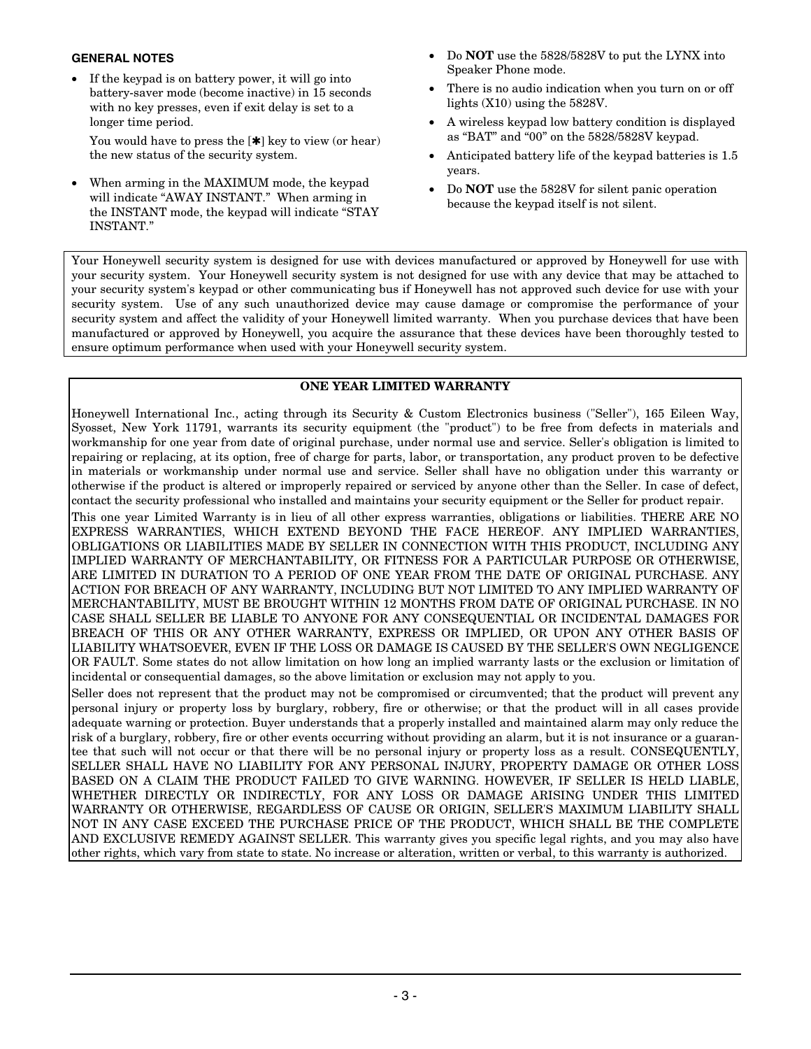## **GENERAL NOTES**

• If the keypad is on battery power, it will go into battery-saver mode (become inactive) in 15 seconds with no key presses, even if exit delay is set to a longer time period.

You would have to press the  $[\ast]$  key to view (or hear) the new status of the security system.

• When arming in the MAXIMUM mode, the keypad will indicate "AWAY INSTANT." When arming in the INSTANT mode, the keypad will indicate "STAY INSTANT."

- Do **NOT** use the 5828/5828V to put the LYNX into Speaker Phone mode.
- There is no audio indication when you turn on or off lights (X10) using the 5828V.
- A wireless keypad low battery condition is displayed as "BAT" and "00" on the 5828/5828V keypad.
- Anticipated battery life of the keypad batteries is 1.5 years.
- Do **NOT** use the 5828V for silent panic operation because the keypad itself is not silent.

Your Honeywell security system is designed for use with devices manufactured or approved by Honeywell for use with your security system. Your Honeywell security system is not designed for use with any device that may be attached to your security system's keypad or other communicating bus if Honeywell has not approved such device for use with your security system. Use of any such unauthorized device may cause damage or compromise the performance of your security system and affect the validity of your Honeywell limited warranty. When you purchase devices that have been manufactured or approved by Honeywell, you acquire the assurance that these devices have been thoroughly tested to ensure optimum performance when used with your Honeywell security system.

## **ONE YEAR LIMITED WARRANTY**

Honeywell International Inc., acting through its Security & Custom Electronics business ("Seller"), 165 Eileen Way, Syosset, New York 11791, warrants its security equipment (the "product") to be free from defects in materials and workmanship for one year from date of original purchase, under normal use and service. Seller's obligation is limited to repairing or replacing, at its option, free of charge for parts, labor, or transportation, any product proven to be defective in materials or workmanship under normal use and service. Seller shall have no obligation under this warranty or otherwise if the product is altered or improperly repaired or serviced by anyone other than the Seller. In case of defect, contact the security professional who installed and maintains your security equipment or the Seller for product repair.

This one year Limited Warranty is in lieu of all other express warranties, obligations or liabilities. THERE ARE NO EXPRESS WARRANTIES, WHICH EXTEND BEYOND THE FACE HEREOF. ANY IMPLIED WARRANTIES, OBLIGATIONS OR LIABILITIES MADE BY SELLER IN CONNECTION WITH THIS PRODUCT, INCLUDING ANY IMPLIED WARRANTY OF MERCHANTABILITY, OR FITNESS FOR A PARTICULAR PURPOSE OR OTHERWISE, ARE LIMITED IN DURATION TO A PERIOD OF ONE YEAR FROM THE DATE OF ORIGINAL PURCHASE. ANY ACTION FOR BREACH OF ANY WARRANTY, INCLUDING BUT NOT LIMITED TO ANY IMPLIED WARRANTY OF MERCHANTABILITY, MUST BE BROUGHT WITHIN 12 MONTHS FROM DATE OF ORIGINAL PURCHASE. IN NO CASE SHALL SELLER BE LIABLE TO ANYONE FOR ANY CONSEQUENTIAL OR INCIDENTAL DAMAGES FOR BREACH OF THIS OR ANY OTHER WARRANTY, EXPRESS OR IMPLIED, OR UPON ANY OTHER BASIS OF LIABILITY WHATSOEVER, EVEN IF THE LOSS OR DAMAGE IS CAUSED BY THE SELLER'S OWN NEGLIGENCE OR FAULT. Some states do not allow limitation on how long an implied warranty lasts or the exclusion or limitation of incidental or consequential damages, so the above limitation or exclusion may not apply to you.

Seller does not represent that the product may not be compromised or circumvented; that the product will prevent any personal injury or property loss by burglary, robbery, fire or otherwise; or that the product will in all cases provide adequate warning or protection. Buyer understands that a properly installed and maintained alarm may only reduce the risk of a burglary, robbery, fire or other events occurring without providing an alarm, but it is not insurance or a guarantee that such will not occur or that there will be no personal injury or property loss as a result. CONSEQUENTLY, SELLER SHALL HAVE NO LIABILITY FOR ANY PERSONAL INJURY, PROPERTY DAMAGE OR OTHER LOSS BASED ON A CLAIM THE PRODUCT FAILED TO GIVE WARNING. HOWEVER, IF SELLER IS HELD LIABLE, WHETHER DIRECTLY OR INDIRECTLY, FOR ANY LOSS OR DAMAGE ARISING UNDER THIS LIMITED WARRANTY OR OTHERWISE, REGARDLESS OF CAUSE OR ORIGIN, SELLER'S MAXIMUM LIABILITY SHALL NOT IN ANY CASE EXCEED THE PURCHASE PRICE OF THE PRODUCT, WHICH SHALL BE THE COMPLETE AND EXCLUSIVE REMEDY AGAINST SELLER. This warranty gives you specific legal rights, and you may also have other rights, which vary from state to state. No increase or alteration, written or verbal, to this warranty is authorized.